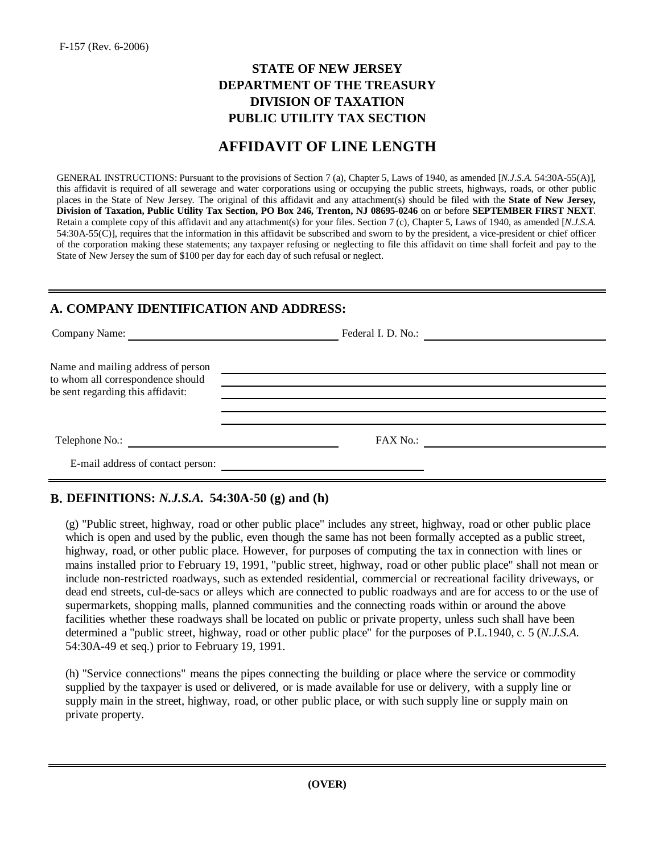### **PUBLIC UTILITY TAX SECTION STATE OF NEW JERSEY DEPARTMENT OF THE TREASURY DIVISION OF TAXATION**

## **AFFIDAVIT OF LINE LENGTH**

GENERAL INSTRUCTIONS: Pursuant to the provisions of Section 7 (a), Chapter 5, Laws of 1940, as amended [*N.J.S.A.* 54:30A-55(A)], this affidavit is required of all sewerage and water corporations using or occupying the public streets, highways, roads, or other public places in the State of New Jersey. The original of this affidavit and any attachment(s) should be filed with the **State of New Jersey, Division of Taxation, Public Utility Tax Section, PO Box 246, Trenton, NJ 08695-0246** on or before **SEPTEMBER FIRST NEXT**. Retain a complete copy of this affidavit and any attachment(s) for your files. Section 7 (c), Chapter 5, Laws of 1940, as amended [*N.J.S.A.* 54:30A-55(C)], requires that the information in this affidavit be subscribed and sworn to by the president, a vice-president or chief officer of the corporation making these statements; any taxpayer refusing or neglecting to file this affidavit on time shall forfeit and pay to the State of New Jersey the sum of \$100 per day for each day of such refusal or neglect.

#### **A. COMPANY IDENTIFICATION AND ADDRESS:**

| Company Name:                                                           | Federal I. D. No.:<br><u> 1989 - Andrea Barbara, política esta</u> |  |
|-------------------------------------------------------------------------|--------------------------------------------------------------------|--|
| Name and mailing address of person<br>to whom all correspondence should |                                                                    |  |
| be sent regarding this affidavit:                                       |                                                                    |  |
| Telephone No.:                                                          | FAX No.:                                                           |  |
| E-mail address of contact person:                                       |                                                                    |  |

### **B. DEFINITIONS:** *N.J.S.A.* **54:30A-50 (g) and (h)**

(g) "Public street, highway, road or other public place" includes any street, highway, road or other public place which is open and used by the public, even though the same has not been formally accepted as a public street, highway, road, or other public place. However, for purposes of computing the tax in connection with lines or mains installed prior to February 19, 1991, "public street, highway, road or other public place" shall not mean or include non-restricted roadways, such as extended residential, commercial or recreational facility driveways, or dead end streets, cul-de-sacs or alleys which are connected to public roadways and are for access to or the use of supermarkets, shopping malls, planned communities and the connecting roads within or around the above facilities whether these roadways shall be located on public or private property, unless such shall have been determined a "public street, highway, road or other public place" for the purposes of P.L.1940, c. 5 (*N.J.S.A.* 54:30A-49 et seq.) prior to February 19, 1991.

(h) "Service connections" means the pipes connecting the building or place where the service or commodity supplied by the taxpayer is used or delivered, or is made available for use or delivery, with a supply line or supply main in the street, highway, road, or other public place, or with such supply line or supply main on private property.